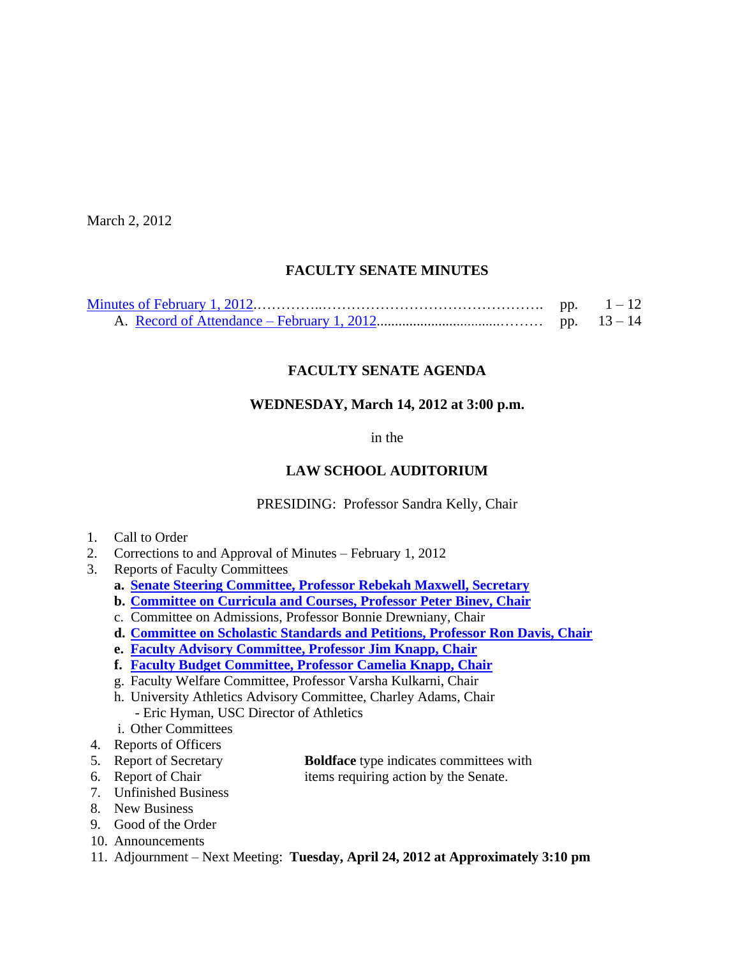March 2, 2012

# **FACULTY SENATE MINUTES**

# **FACULTY SENATE AGENDA**

### **WEDNESDAY, March 14, 2012 at 3:00 p.m.**

in the

## **LAW SCHOOL AUDITORIUM**

PRESIDING: Professor Sandra Kelly, Chair

- 1. Call to Order
- 2. Corrections to and Approval of Minutes February 1, 2012
- 3. Reports of Faculty Committees
	- **a. [Senate Steering Committee, Professor Rebekah Maxwell, Secretary](http://www.sc.edu/faculty/senate/12/agenda/0314.CommitteeSlate2012.pdf)**
	- **b. [Committee on Curricula and Courses, Professor Peter Binev, Chair](http://www.sc.edu/faculty/senate/12/agenda/0314.cc.pdf)**
	- c. Committee on Admissions, Professor Bonnie Drewniany, Chair
	- **d. [Committee on Scholastic Standards and Petitions, Professor Ron Davis, Chair](http://www.sc.edu/faculty/senate/12/agenda/0314.ssp.pdf)**
	- **e. [Faculty Advisory Committee, Professor Jim Knapp, Chair](http://www.sc.edu/faculty/senate/12/agenda/0314.FacultyAdvisoryCommitteeReport.pdf)**
	- **f. [Faculty Budget Committee, Professor Camelia Knapp, Chair](http://www.sc.edu/faculty/senate/12/agenda/0314_FBudget_03_14_12_Raise_Proposal.pdf)**
	- g. Faculty Welfare Committee, Professor Varsha Kulkarni, Chair
	- h. University Athletics Advisory Committee, Charley Adams, Chair - Eric Hyman, USC Director of Athletics
	- i. Other Committees
- 4. Reports of Officers
- 5. Report of Secretary **Boldface** type indicates committees with
- 

6. Report of Chair items requiring action by the Senate.

- 7. Unfinished Business
- 8. New Business
- 9. Good of the Order
- 10. Announcements
- 11. Adjournment Next Meeting: **Tuesday, April 24, 2012 at Approximately 3:10 pm**